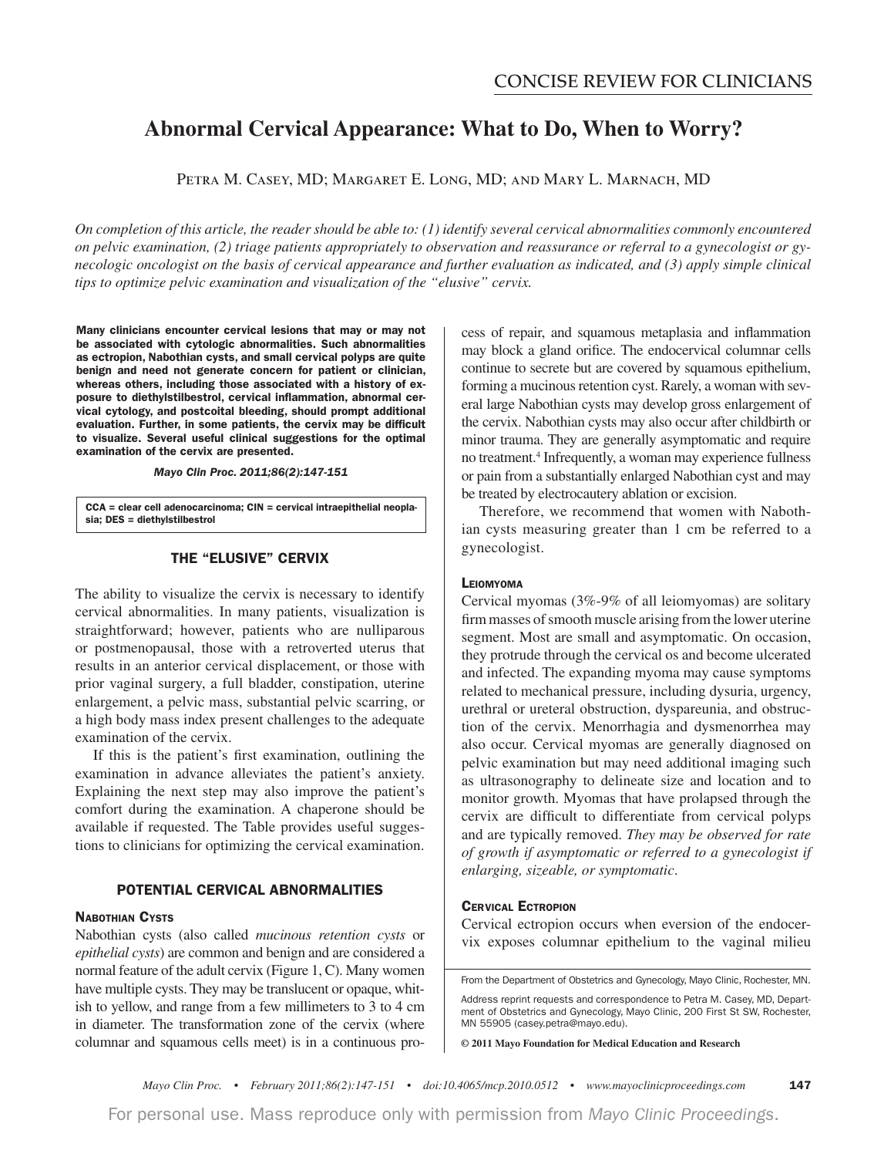# **Abnormal Cervical Appearance: What to Do, When to Worry?**

Petra M. Casey, MD; Margaret E. Long, MD; and Mary L. Marnach, MD

On completion of this article, the reader should be able to: (1) identify several cervical abnormalities commonly encountered on pelvic examination, (2) triage patients appropriately to observation and reassurance or referral to a gynecologist or gy*necologic oncologist on the basis of cervical appearance and further evaluation as indicated, and (3) apply simple clinical tips to optimize pelvic examination and visualization of the "elusive" cervix.* 

**Many clinicians encounter cervical lesions that may or may not be associated with cytologic abnormalities. Such abnormalities as ectropion, Nabothian cysts, and small cervical polyps are quite benign and need not generate concern for patient or clinician, whereas others, including those associated with a history of exposure to diethylstilbestrol, cervical inflammation, abnormal cervical cytology, and postcoital bleeding, should prompt additional evaluation. Further, in some patients, the cervix may be difficult to visualize. Several useful clinical suggestions for the optimal examination of the cervix are presented.**

*Mayo Clin Proc. 2011;86(2):147-151*

**CCA = clear cell adenocarcinoma; CIN = cervical intraepithelial neoplasia; DES = diethylstilbestrol**

### **THE "ELUSIVE" CERVIX**

The ability to visualize the cervix is necessary to identify cervical abnormalities. In many patients, visualization is straightforward; however, patients who are nulliparous or postmenopausal, those with a retroverted uterus that results in an anterior cervical displacement, or those with prior vaginal surgery, a full bladder, constipation, uterine enlargement, a pelvic mass, substantial pelvic scarring, or a high body mass index present challenges to the adequate examination of the cervix.

 If this is the patient's first examination, outlining the examination in advance alleviates the patient's anxiety. Explaining the next step may also improve the patient's comfort during the examination. A chaperone should be available if requested. The Table provides useful suggestions to clinicians for optimizing the cervical examination.

### **POTENTIAL CERVICAL ABNORMALITIES**

#### **NABOTHIAN CYSTS**

Nabothian cysts (also called *mucinous retention cysts* or *epithelial cysts*) are common and benign and are considered a normal feature of the adult cervix (Figure 1, C). Many women have multiple cysts. They may be translucent or opaque, whitish to yellow, and range from a few millimeters to 3 to 4 cm in diameter. The transformation zone of the cervix (where columnar and squamous cells meet) is in a continuous process of repair, and squamous metaplasia and inflammation may block a gland orifice. The endocervical columnar cells continue to secrete but are covered by squamous epithelium, forming a mucinous retention cyst. Rarely, a woman with several large Nabothian cysts may develop gross enlargement of the cervix. Nabothian cysts may also occur after childbirth or minor trauma. They are generally asymptomatic and require no treatment.4 Infrequently, a woman may experience fullness or pain from a substantially enlarged Nabothian cyst and may be treated by electrocautery ablation or excision.

 Therefore, we recommend that women with Nabothian cysts measuring greater than 1 cm be referred to a gynecologist.

#### **LEIOMYOMA**

Cervical myomas (3%-9% of all leiomyomas) are solitary firm masses of smooth muscle arising from the lower uterine segment. Most are small and asymptomatic. On occasion, they protrude through the cervical os and become ulcerated and infected. The expanding myoma may cause symptoms related to mechanical pressure, including dysuria, urgency, urethral or ureteral obstruction, dyspareunia, and obstruction of the cervix. Menorrhagia and dysmenorrhea may also occur. Cervical myomas are generally diagnosed on pelvic examination but may need additional imaging such as ultrasonography to delineate size and location and to monitor growth. Myomas that have prolapsed through the cervix are difficult to differentiate from cervical polyps and are typically removed. They may be observed for rate *of growth if asymptomatic or referred to a gynecologist if enlarging, sizeable, or symptomatic.* 

#### **CERVICAL ECTROPION**

Cervical ectropion occurs when eversion of the endocervix exposes columnar epithelium to the vaginal milieu

From the Department of Obstetrics and Gynecology, Mayo Clinic, Rochester, MN.

Address reprint requests and correspondence to Petra M. Casey, MD, Department of Obstetrics and Gynecology, Mayo Clinic, 200 First St SW, Rochester, MN 55905 (casey.petra@mayo.edu).

**© 2011 Mayo Foundation for Medical Education and Research**

*Mayo Clin Proc.* • February 2011;86(2):147-151 • doi:10.4065/mcp.2010.0512 • www.mayoclinicproceedings.com 147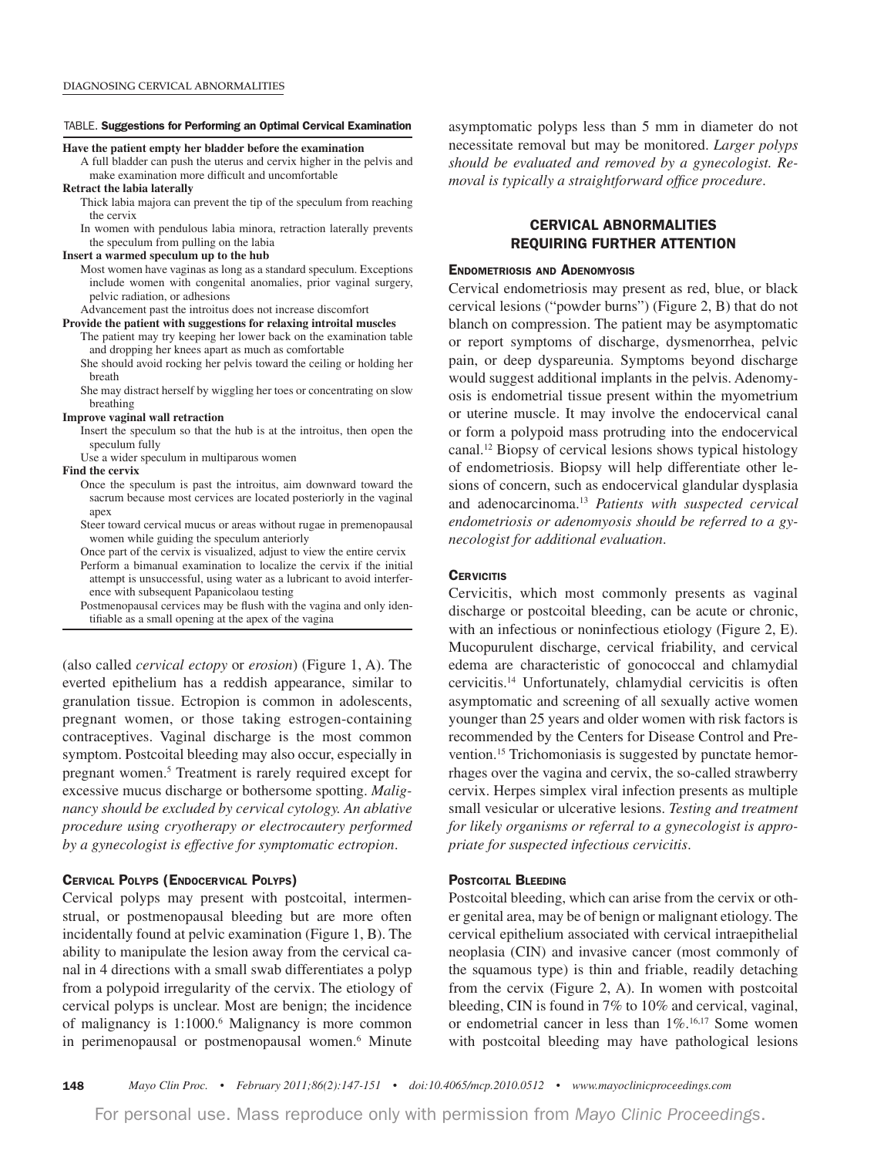#### TABLE. **Suggestions for Performing an Optimal Cervical Examination**

#### **Have the patient empty her bladder before the examination**

- A full bladder can push the uterus and cervix higher in the pelvis and make examination more difficult and uncomfortable
- **Retract the labia laterally**
	- Thick labia majora can prevent the tip of the speculum from reaching the cervix
	- In women with pendulous labia minora, retraction laterally prevents the speculum from pulling on the labia

#### **Insert a warmed speculum up to the hub**

 Most women have vaginas as long as a standard speculum. Exceptions include women with congenital anomalies, prior vaginal surgery, pelvic radiation, or adhesions

#### Advancement past the introitus does not increase discomfort

**Provide the patient with suggestions for relaxing introital muscles** The patient may try keeping her lower back on the examination table

- and dropping her knees apart as much as comfortable She should avoid rocking her pelvis toward the ceiling or holding her
- breath She may distract herself by wiggling her toes or concentrating on slow
- breathing

#### **Improve vaginal wall retraction**

- Insert the speculum so that the hub is at the introitus, then open the speculum fully
- Use a wider speculum in multiparous women

#### **Find the cervix**

- Once the speculum is past the introitus, aim downward toward the sacrum because most cervices are located posteriorly in the vaginal apex
- Steer toward cervical mucus or areas without rugae in premenopausal women while guiding the speculum anteriorly
- Once part of the cervix is visualized, adjust to view the entire cervix Perform a bimanual examination to localize the cervix if the initial attempt is unsuccessful, using water as a lubricant to avoid interfer ence with subsequent Papanicolaou testing

 Postmenopausal cervices may be flush with the vagina and only iden tifiable as a small opening at the apex of the vagina

(also called *cervical ectopy* or *erosion*) (Figure 1, A). The everted epithelium has a reddish appearance, similar to granulation tissue. Ectropion is common in adolescents, pregnant women, or those taking estrogen-containing contraceptives. Vaginal discharge is the most common symptom. Postcoital bleeding may also occur, especially in pregnant women.<sup>5</sup> Treatment is rarely required except for excessive mucus discharge or bothersome spotting. *Malignancy should be excluded by cervical cytology. An ablative procedure using cryotherapy or electrocautery performed by a gynecologist is effective for symptomatic ectropion.* 

#### **CERVICAL POLYPS (ENDOCERVICAL POLYPS)**

Cervical polyps may present with postcoital, intermenstrual, or postmenopausal bleeding but are more often incidentally found at pelvic examination (Figure 1, B). The ability to manipulate the lesion away from the cervical canal in 4 directions with a small swab differentiates a polyp from a polypoid irregularity of the cervix. The etiology of cervical polyps is unclear. Most are benign; the incidence of malignancy is 1:1000.<sup>6</sup> Malignancy is more common in perimenopausal or postmenopausal women.<sup>6</sup> Minute asymptomatic polyps less than 5 mm in diameter do not necessitate removal but may be monitored. *Larger polyps* should be evaluated and removed by a gynecologist. Re*moval is typically a straightforward office procedure.* 

### **CERVICAL ABNORMALITIES REQUIRING FURTHER ATTENTION**

#### **ENDOMETRIOSIS AND ADENOMYOSIS**

Cervical endometriosis may present as red, blue, or black cervical lesions ("powder burns") (Figure 2, B) that do not blanch on compression. The patient may be asymptomatic or report symptoms of discharge, dysmenorrhea, pelvic pain, or deep dyspareunia. Symptoms beyond discharge would suggest additional implants in the pelvis. Adenomyosis is endometrial tissue present within the myometrium or uterine muscle. It may involve the endocervical canal or form a polypoid mass protruding into the endocervical canal.12 Biopsy of cervical lesions shows typical histology of endometriosis. Biopsy will help differentiate other lesions of concern, such as endocervical glandular dysplasia and adenocarcinoma.<sup>13</sup> Patients with suspected cervical *endometriosis or adenomyosis should be referred to a gynecologist for additional evaluation.* 

#### **CERVICITIS**

Cervicitis, which most commonly presents as vaginal discharge or postcoital bleeding, can be acute or chronic, with an infectious or noninfectious etiology (Figure 2, E). Mucopurulent discharge, cervical friability, and cervical edema are characteristic of gonococcal and chlamydial cervicitis.14 Unfortunately, chlamydial cervicitis is often asymptomatic and screening of all sexually active women younger than 25 years and older women with risk factors is recommended by the Centers for Disease Control and Prevention.15 Trichomoniasis is suggested by punctate hemorrhages over the vagina and cervix, the so-called strawberry cervix. Herpes simplex viral infection presents as multiple small vesicular or ulcerative lesions. *Testing and treatment for likely organisms or referral to a gynecologist is appropriate for suspected infectious cervicitis.* 

### **POSTCOITAL BLEEDING**

Postcoital bleeding, which can arise from the cervix or other genital area, may be of benign or malignant etiology. The cervical epithelium associated with cervical intraepithelial neoplasia (CIN) and invasive cancer (most commonly of the squamous type) is thin and friable, readily detaching from the cervix (Figure 2, A). In women with postcoital bleeding, CIN is found in 7% to 10% and cervical, vaginal, or endometrial cancer in less than 1%.<sup>16,17</sup> Some women with postcoital bleeding may have pathological lesions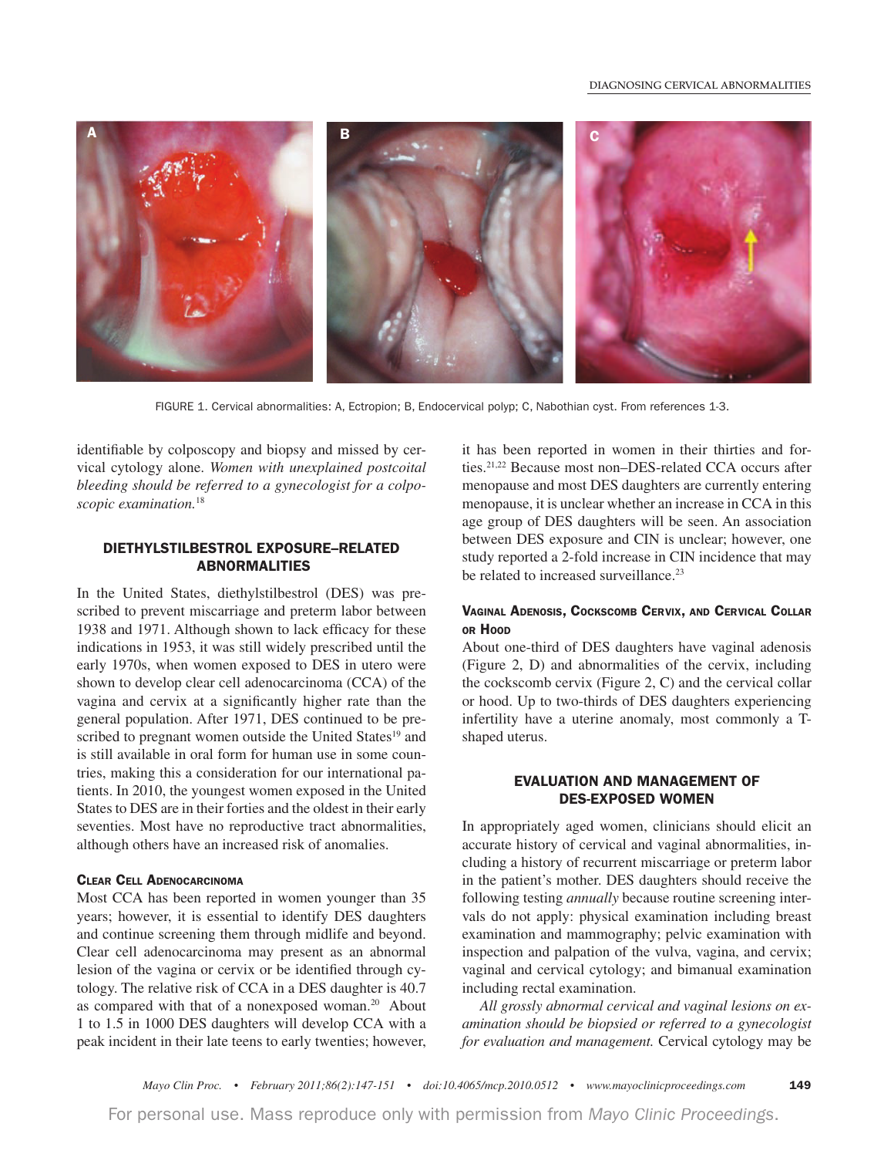

FIGURE 1. Cervical abnormalities: A, Ectropion; B, Endocervical polyp; C, Nabothian cyst. From references 1-3.

identifiable by colposcopy and biopsy and missed by cervical cytology alone. Women with unexplained postcoital *bleeding should be referred to a gynecologist for a colposcopic examination.*<sup>18</sup>

### **DIETHYLSTILBESTROL EXPOSURE –RELATED ABNORMALITIES**

In the United States, diethylstilbestrol (DES) was prescribed to prevent miscarriage and preterm labor between 1938 and 1971. Although shown to lack efficacy for these indications in 1953, it was still widely prescribed until the early 1970s, when women exposed to DES in utero were shown to develop clear cell adenocarcinoma (CCA) of the vagina and cervix at a significantly higher rate than the general population. After 1971, DES continued to be prescribed to pregnant women outside the United States<sup>19</sup> and is still available in oral form for human use in some countries, making this a consideration for our international patients. In 2010, the youngest women exposed in the United States to DES are in their forties and the oldest in their early seventies. Most have no reproductive tract abnormalities, although others have an increased risk of anomalies.

#### **CLEAR CELL ADENOCARCINOMA**

Most CCA has been reported in women younger than 35 years; however, it is essential to identify DES daughters and continue screening them through midlife and beyond. Clear cell adenocarcinoma may present as an abnormal lesion of the vagina or cervix or be identified through cytology. The relative risk of CCA in a DES daughter is 40.7 as compared with that of a nonexposed woman.<sup>20</sup> About 1 to 1.5 in 1000 DES daughters will develop CCA with a peak incident in their late teens to early twenties; however, it has been reported in women in their thirties and forties.21,22 Because most non–DES-related CCA occurs after menopause and most DES daughters are currently entering menopause, it is unclear whether an increase in CCA in this age group of DES daughters will be seen. An association between DES exposure and CIN is unclear; however, one study reported a 2-fold increase in CIN incidence that may be related to increased surveillance.<sup>23</sup>

### **VAGINAL ADENOSIS, COCKSCOMB CERVIX, AND CERVICAL COLLAR OR HOOD**

About one-third of DES daughters have vaginal adenosis (Figure 2, D) and abnormalities of the cervix, including the cockscomb cervix (Figure 2, C) and the cervical collar or hood. Up to two-thirds of DES daughters experiencing infertility have a uterine anomaly, most commonly a Tshaped uterus.

### **EVALUATION AND MANAGEMENT OF DES-EXPOSED WOMEN**

In appropriately aged women, clinicians should elicit an accurate history of cervical and vaginal abnormalities, including a history of recurrent miscarriage or preterm labor in the patient's mother. DES daughters should receive the following testing *annually* because routine screening intervals do not apply: physical examination including breast examination and mammography; pelvic examination with inspection and palpation of the vulva, vagina, and cervix; vaginal and cervical cytology; and bimanual examination including rectal examination.

All grossly abnormal cervical and vaginal lesions on ex*amination should be biopsied or referred to a gynecologist* for evaluation and management. Cervical cytology may be

*.BZP\$MJO1SPDr'FCSVBSZ rEPJNDQrXXXNBZPDMJOJDQSPDFFEJOHTDPN* **149**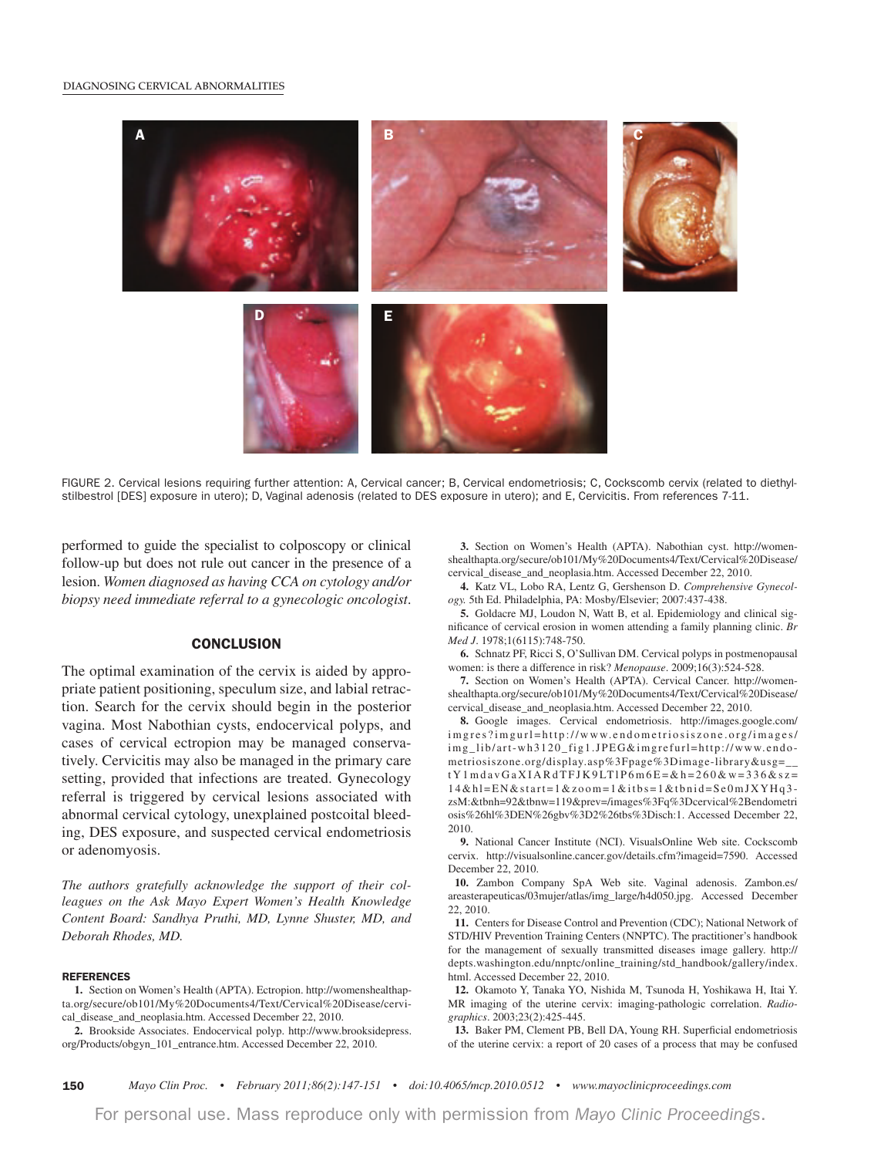#### **DIAGNOSING CERVICAL ABNORMALITIES**



FIGURE 2. Cervical lesions requiring further attention: A, Cervical cancer; B, Cervical endometriosis; C, Cockscomb cervix (related to diethylstilbestrol [DES] exposure in utero); D, Vaginal adenosis (related to DES exposure in utero); and E, Cervicitis. From references 7-11.

performed to guide the specialist to colposcopy or clinical follow-up but does not rule out cancer in the presence of a lesion. *Women diagnosed as having CCA on cytology and/or biopsy need immediate referral to a gynecologic oncologist.* 

#### **CONCLUSION**

The optimal examination of the cervix is aided by appropriate patient positioning, speculum size, and labial retraction. Search for the cervix should begin in the posterior vagina. Most Nabothian cysts, endocervical polyps, and cases of cervical ectropion may be managed conservatively. Cervicitis may also be managed in the primary care setting, provided that infections are treated. Gynecology referral is triggered by cervical lesions associated with abnormal cervical cytology, unexplained postcoital bleeding, DES exposure, and suspected cervical endometriosis or adenomyosis.

The authors gratefully acknowledge the support of their col*leagues on the Ask Mayo Expert Women's Health Knowledge* Content Board: Sandhya Pruthi, MD, Lynne Shuster, MD, and Deborah Rhodes, MD.

#### **REFERENCES**

**1.** Section on Women's Health (APTA). Ectropion. http://womenshealthapta.org/secure/ob101/My%20Documents4/Text/Cervical%20Disease/cervical\_disease\_and\_neoplasia.htm. Accessed December 22, 2010.

**2.** Brookside Associates. Endocervical polyp. http://www.brooksidepress. org/Products/obgyn\_101\_entrance.htm. Accessed December 22, 2010.

**3.** Section on Women's Health (APTA). Nabothian cyst. http://womenshealthapta.org/secure/ob101/My%20Documents4/Text/Cervical%20Disease/ cervical\_disease\_and\_neoplasia.htm. Accessed December 22, 2010.

4. Katz VL, Lobo RA, Lentz G, Gershenson D. *Comprehensive Gynecol-PHZ* 5th Ed. Philadelphia, PA: Mosby/Elsevier; 2007:437-438.

**5.** Goldacre MJ, Loudon N, Watt B, et al. Epidemiology and clinical significance of cervical erosion in women attending a family planning clinic. *Br Med J.* 1978;1(6115):748-750.

**6.** Schnatz PF, Ricci S, O'Sullivan DM. Cervical polyps in postmenopausal women: is there a difference in risk? *Menopause*. 2009;16(3):524-528.

**7.** Section on Women's Health (APTA). Cervical Cancer. http://womenshealthapta.org/secure/ob101/My%20Documents4/Text/Cervical%20Disease/ cervical\_disease\_and\_neoplasia.htm. Accessed December 22, 2010.

**8.** Google images. Cervical endometriosis. http://images.google.com/ imgres?imgurl=http://www.endometriosiszone.org/images/ img\_lib/art-wh3120\_fig1.JPEG&imgrefurl=http://www.endometriosiszone.org/display.asp%3Fpage%3Dimage-library&usg=\_\_ tY1mdavGaXIARdTFJK9LTlP6m6E=&h=260&w=336&sz= 14&hl=EN&start=1&zoom=1&itbs=1&tbnid=Se0mJXYHq3 zsM:&tbnh=92&tbnw=119&prev=/images%3Fq%3Dcervical%2Bendometri osis%26hl%3DEN%26gbv%3D2%26tbs%3Disch:1. Accessed December 22, 2010.

**9.** National Cancer Institute (NCI). VisualsOnline Web site. Cockscomb cervix. http://visualsonline.cancer.gov/details.cfm?imageid=7590. Accessed December 22, 2010.

 **10.** Zambon Company SpA Web site. Vaginal adenosis. Zambon.es/ areasterapeuticas/03mujer/atlas/img\_large/h4d050.jpg. Accessed December 22, 2010.

**11.** Centers for Disease Control and Prevention (CDC); National Network of STD/HIV Prevention Training Centers (NNPTC). The practitioner's handbook for the management of sexually transmitted diseases image gallery. http:// depts.washington.edu/nnptc/online\_training/std\_handbook/gallery/index. html. Accessed December 22, 2010.

**12.** Okamoto Y, Tanaka YO, Nishida M, Tsunoda H, Yoshikawa H, Itai Y. MR imaging of the uterine cervix: imaging-pathologic correlation. *Radio*graphics. 2003;23(2):425-445.

**13.** Baker PM, Clement PB, Bell DA, Young RH. Superficial endometriosis of the uterine cervix: a report of 20 cases of a process that may be confused